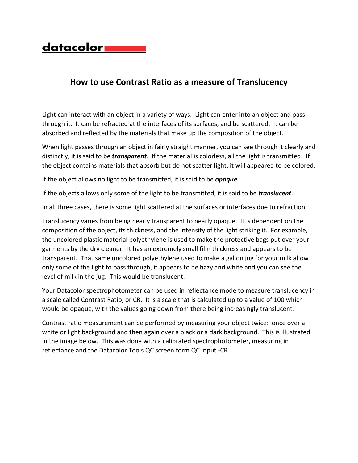

## **How to use Contrast Ratio as a measure of Translucency**

Light can interact with an object in a variety of ways. Light can enter into an object and pass through it. It can be refracted at the interfaces of its surfaces, and be scattered. It can be absorbed and reflected by the materials that make up the composition of the object.

When light passes through an object in fairly straight manner, you can see through it clearly and distinctly, it is said to be *transparent*. If the material is colorless, all the light is transmitted. If the object contains materials that absorb but do not scatter light, it will appeared to be colored.

If the object allows no light to be transmitted, it is said to be *opaque*.

If the objects allows only some of the light to be transmitted, it is said to be *translucent*.

In all three cases, there is some light scattered at the surfaces or interfaces due to refraction.

Translucency varies from being nearly transparent to nearly opaque. It is dependent on the composition of the object, its thickness, and the intensity of the light striking it. For example, the uncolored plastic material polyethylene is used to make the protective bags put over your garments by the dry cleaner. It has an extremely small film thickness and appears to be transparent. That same uncolored polyethylene used to make a gallon jug for your milk allow only some of the light to pass through, it appears to be hazy and white and you can see the level of milk in the jug. This would be translucent.

Your Datacolor spectrophotometer can be used in reflectance mode to measure translucency in a scale called Contrast Ratio, or CR. It is a scale that is calculated up to a value of 100 which would be opaque, with the values going down from there being increasingly translucent.

Contrast ratio measurement can be performed by measuring your object twice: once over a white or light background and then again over a black or a dark background. This is illustrated in the image below. This was done with a calibrated spectrophotometer, measuring in reflectance and the Datacolor Tools QC screen form QC Input -CR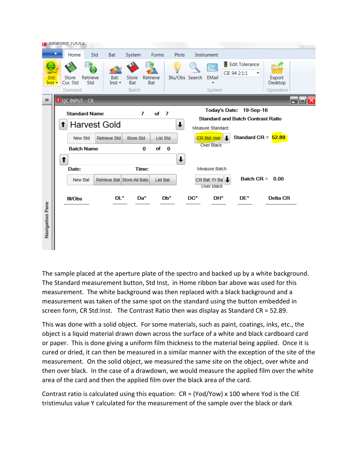

The sample placed at the aperture plate of the spectro and backed up by a white background. The Standard measurement button, Std Inst, in Home ribbon bar above was used for this measurement. The white background was then replaced with a black background and a measurement was taken of the same spot on the standard using the button embedded in screen form, CR Std:Inst. The Contrast Ratio then was display as Standard CR = 52.89.

This was done with a solid object. For some materials, such as paint, coatings, inks, etc., the object is a liquid material drawn down across the surface of a white and black cardboard card or paper. This is done giving a uniform film thickness to the material being applied. Once it is cured or dried, it can then be measured in a similar manner with the exception of the site of the measurement. On the solid object, we measured the same site on the object, over white and then over black. In the case of a drawdown, we would measure the applied film over the white area of the card and then the applied film over the black area of the card.

Contrast ratio is calculated using this equation: CR = (Yod/Yow) x 100 where Yod is the CIE tristimulus value Y calculated for the measurement of the sample over the black or dark